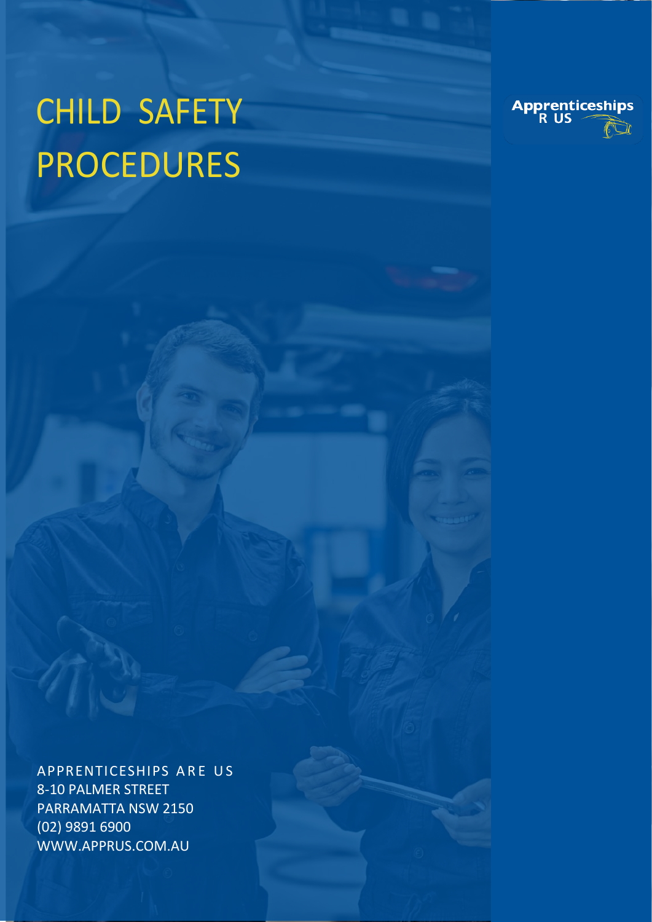# CHILD SAFETY PROCEDURES



APPRENTICESHIPS ARE US 8-10 PALMER STREET PARRAMATTA NSW 2150 (02) 9891 6900 WWW.APPRUS.COM.AU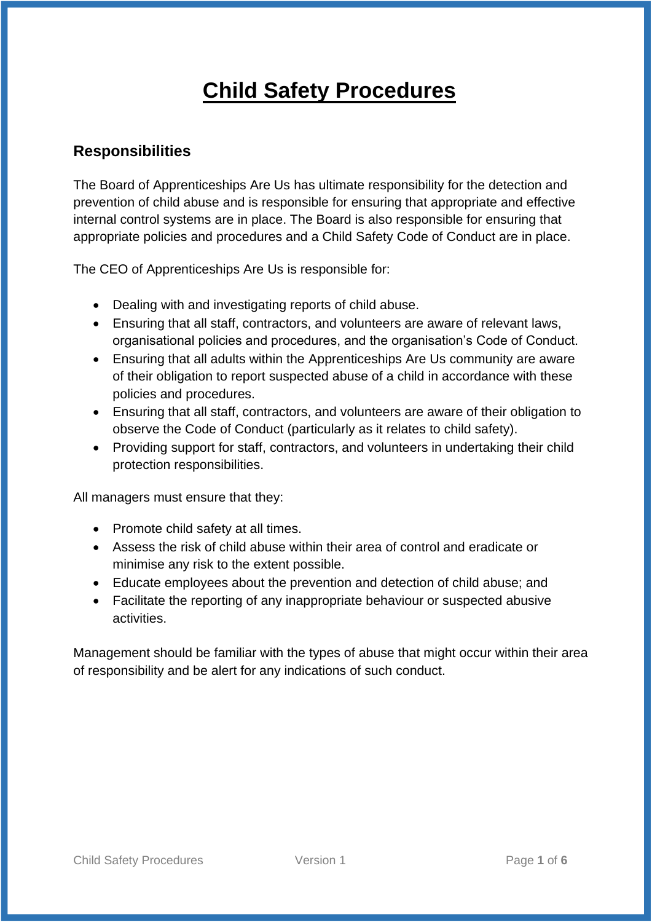# **Child Safety Procedures**

#### **Responsibilities**

The Board of Apprenticeships Are Us has ultimate responsibility for the detection and prevention of child abuse and is responsible for ensuring that appropriate and effective internal control systems are in place. The Board is also responsible for ensuring that appropriate policies and procedures and a Child Safety Code of Conduct are in place.

The CEO of Apprenticeships Are Us is responsible for:

- Dealing with and investigating reports of child abuse.
- Ensuring that all staff, contractors, and volunteers are aware of relevant laws, organisational policies and procedures, and the organisation's Code of Conduct.
- Ensuring that all adults within the Apprenticeships Are Us community are aware of their obligation to report suspected abuse of a child in accordance with these policies and procedures.
- Ensuring that all staff, contractors, and volunteers are aware of their obligation to observe the Code of Conduct (particularly as it relates to child safety).
- Providing support for staff, contractors, and volunteers in undertaking their child protection responsibilities.

All managers must ensure that they:

- Promote child safety at all times.
- Assess the risk of child abuse within their area of control and eradicate or minimise any risk to the extent possible.
- Educate employees about the prevention and detection of child abuse; and
- Facilitate the reporting of any inappropriate behaviour or suspected abusive activities.

Management should be familiar with the types of abuse that might occur within their area of responsibility and be alert for any indications of such conduct.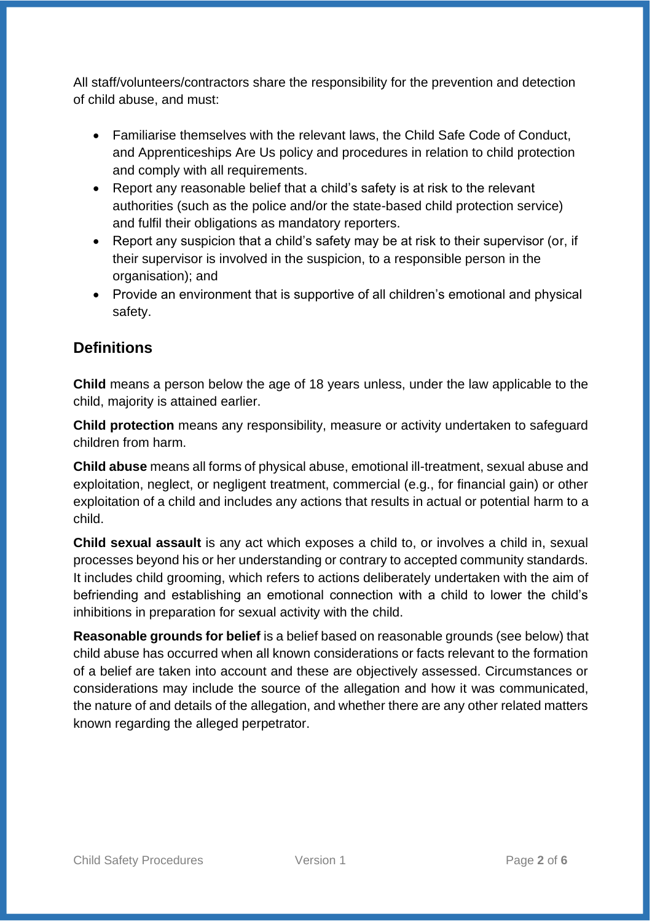All staff/volunteers/contractors share the responsibility for the prevention and detection of child abuse, and must:

- Familiarise themselves with the relevant laws, the Child Safe Code of Conduct, and Apprenticeships Are Us policy and procedures in relation to child protection and comply with all requirements.
- Report any reasonable belief that a child's safety is at risk to the relevant authorities (such as the police and/or the state-based child protection service) and fulfil their obligations as mandatory reporters.
- Report any suspicion that a child's safety may be at risk to their supervisor (or, if their supervisor is involved in the suspicion, to a responsible person in the organisation); and
- Provide an environment that is supportive of all children's emotional and physical safety.

### **Definitions**

**Child** means a person below the age of 18 years unless, under the law applicable to the child, majority is attained earlier.

**Child protection** means any responsibility, measure or activity undertaken to safeguard children from harm.

**Child abuse** means all forms of physical abuse, emotional ill-treatment, sexual abuse and exploitation, neglect, or negligent treatment, commercial (e.g., for financial gain) or other exploitation of a child and includes any actions that results in actual or potential harm to a child.

**Child sexual assault** is any act which exposes a child to, or involves a child in, sexual processes beyond his or her understanding or contrary to accepted community standards. It includes child grooming, which refers to actions deliberately undertaken with the aim of befriending and establishing an emotional connection with a child to lower the child's inhibitions in preparation for sexual activity with the child.

**Reasonable grounds for belief** is a belief based on reasonable grounds (see below) that child abuse has occurred when all known considerations or facts relevant to the formation of a belief are taken into account and these are objectively assessed. Circumstances or considerations may include the source of the allegation and how it was communicated, the nature of and details of the allegation, and whether there are any other related matters known regarding the alleged perpetrator.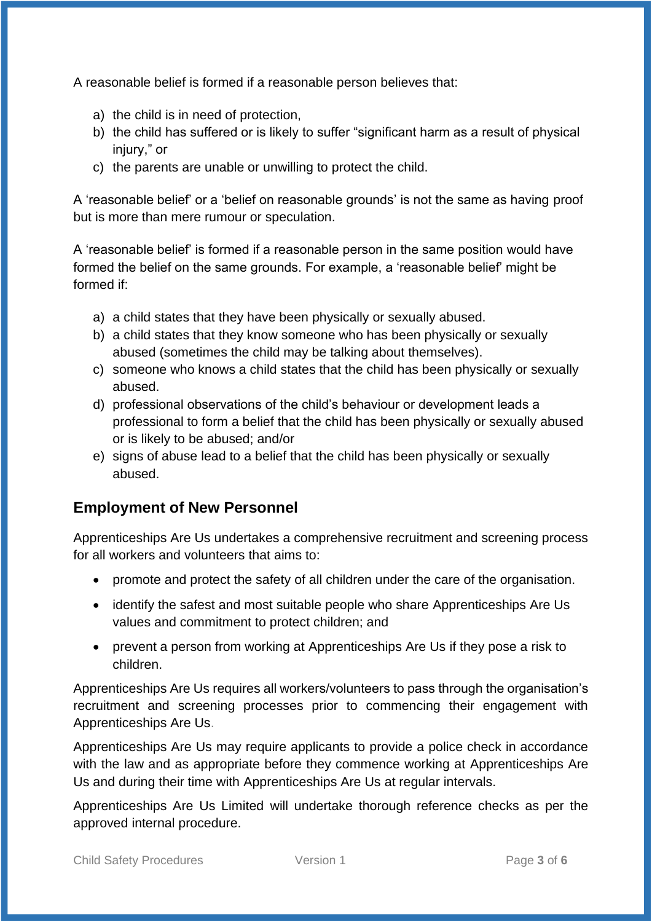A reasonable belief is formed if a reasonable person believes that:

- a) the child is in need of protection,
- b) the child has suffered or is likely to suffer "significant harm as a result of physical injury," or
- c) the parents are unable or unwilling to protect the child.

A 'reasonable belief' or a 'belief on reasonable grounds' is not the same as having proof but is more than mere rumour or speculation.

A 'reasonable belief' is formed if a reasonable person in the same position would have formed the belief on the same grounds. For example, a 'reasonable belief' might be formed if:

- a) a child states that they have been physically or sexually abused.
- b) a child states that they know someone who has been physically or sexually abused (sometimes the child may be talking about themselves).
- c) someone who knows a child states that the child has been physically or sexually abused.
- d) professional observations of the child's behaviour or development leads a professional to form a belief that the child has been physically or sexually abused or is likely to be abused; and/or
- e) signs of abuse lead to a belief that the child has been physically or sexually abused.

#### **Employment of New Personnel**

Apprenticeships Are Us undertakes a comprehensive recruitment and screening process for all workers and volunteers that aims to:

- promote and protect the safety of all children under the care of the organisation.
- identify the safest and most suitable people who share Apprenticeships Are Us values and commitment to protect children; and
- prevent a person from working at Apprenticeships Are Us if they pose a risk to children.

Apprenticeships Are Us requires all workers/volunteers to pass through the organisation's recruitment and screening processes prior to commencing their engagement with Apprenticeships Are Us.

Apprenticeships Are Us may require applicants to provide a police check in accordance with the law and as appropriate before they commence working at Apprenticeships Are Us and during their time with Apprenticeships Are Us at regular intervals.

Apprenticeships Are Us Limited will undertake thorough reference checks as per the approved internal procedure.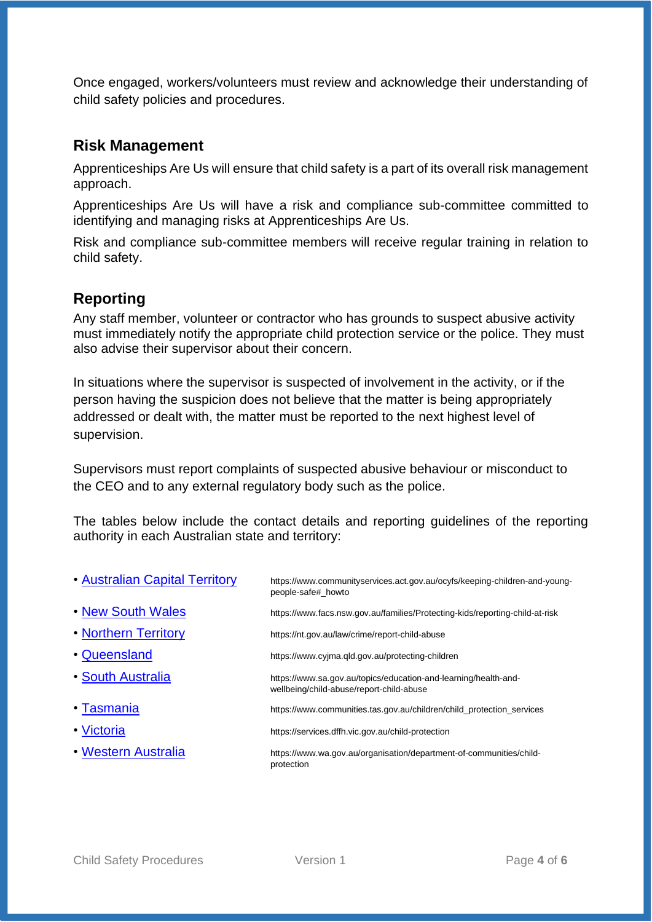Once engaged, workers/volunteers must review and acknowledge their understanding of child safety policies and procedures.

#### **Risk Management**

Apprenticeships Are Us will ensure that child safety is a part of its overall risk management approach.

Apprenticeships Are Us will have a risk and compliance sub-committee committed to identifying and managing risks at Apprenticeships Are Us.

Risk and compliance sub-committee members will receive regular training in relation to child safety.

#### **Reporting**

Any staff member, volunteer or contractor who has grounds to suspect abusive activity must immediately notify the appropriate child protection service or the police. They must also advise their supervisor about their concern.

In situations where the supervisor is suspected of involvement in the activity, or if the person having the suspicion does not believe that the matter is being appropriately addressed or dealt with, the matter must be reported to the next highest level of supervision.

Supervisors must report complaints of suspected abusive behaviour or misconduct to the CEO and to any external regulatory body such as the police.

The tables below include the contact details and reporting guidelines of the reporting authority in each Australian state and territory:

| . Australian Capital Territory | https://www.communityservices.act.gov.au/ocyfs/keeping-children-and-young-<br>people-safe# howto            |
|--------------------------------|-------------------------------------------------------------------------------------------------------------|
| . New South Wales              | https://www.facs.nsw.gov.au/families/Protecting-kids/reporting-child-at-risk                                |
| • Northern Territory           | https://nt.gov.au/law/crime/report-child-abuse                                                              |
| • Queensland                   | https://www.cyjma.gld.gov.au/protecting-children                                                            |
| • South Australia              | https://www.sa.gov.au/topics/education-and-learning/health-and-<br>wellbeing/child-abuse/report-child-abuse |
| • Tasmania                     | https://www.communities.tas.gov.au/children/child_protection_services                                       |
| • Victoria                     | https://services.dffh.vic.gov.au/child-protection                                                           |
| • Western Australia            | https://www.wa.gov.au/organisation/department-of-communities/child-<br>protection                           |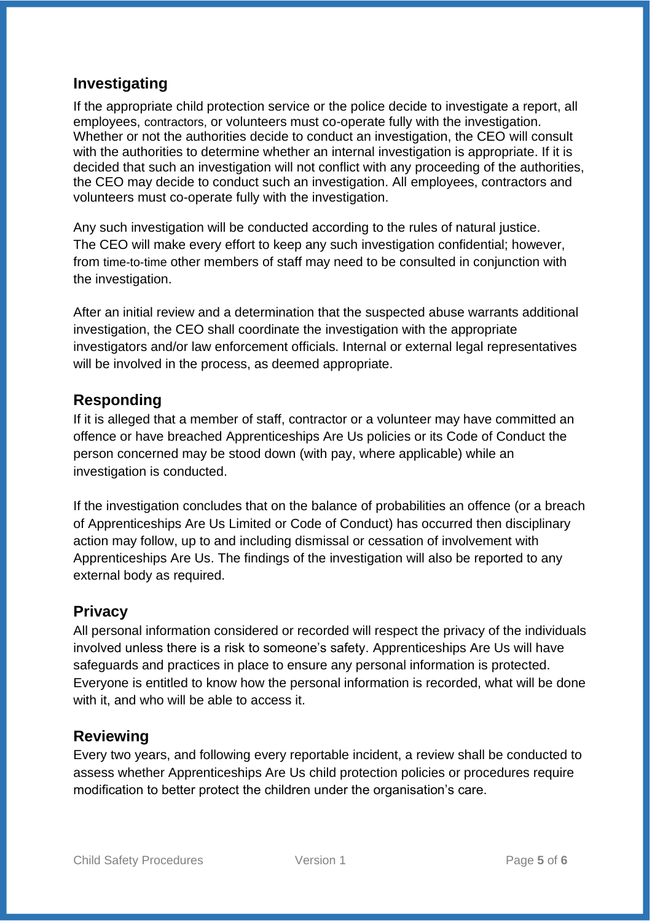#### **Investigating**

If the appropriate child protection service or the police decide to investigate a report, all employees, contractors, or volunteers must co-operate fully with the investigation. Whether or not the authorities decide to conduct an investigation, the CEO will consult with the authorities to determine whether an internal investigation is appropriate. If it is decided that such an investigation will not conflict with any proceeding of the authorities, the CEO may decide to conduct such an investigation. All employees, contractors and volunteers must co-operate fully with the investigation.

Any such investigation will be conducted according to the rules of natural justice. The CEO will make every effort to keep any such investigation confidential; however, from time-to-time other members of staff may need to be consulted in conjunction with the investigation.

After an initial review and a determination that the suspected abuse warrants additional investigation, the CEO shall coordinate the investigation with the appropriate investigators and/or law enforcement officials. Internal or external legal representatives will be involved in the process, as deemed appropriate.

#### **Responding**

If it is alleged that a member of staff, contractor or a volunteer may have committed an offence or have breached Apprenticeships Are Us policies or its Code of Conduct the person concerned may be stood down (with pay, where applicable) while an investigation is conducted.

If the investigation concludes that on the balance of probabilities an offence (or a breach of Apprenticeships Are Us Limited or Code of Conduct) has occurred then disciplinary action may follow, up to and including dismissal or cessation of involvement with Apprenticeships Are Us. The findings of the investigation will also be reported to any external body as required.

#### **Privacy**

All personal information considered or recorded will respect the privacy of the individuals involved unless there is a risk to someone's safety. Apprenticeships Are Us will have safeguards and practices in place to ensure any personal information is protected. Everyone is entitled to know how the personal information is recorded, what will be done with it, and who will be able to access it.

#### **Reviewing**

Every two years, and following every reportable incident, a review shall be conducted to assess whether Apprenticeships Are Us child protection policies or procedures require modification to better protect the children under the organisation's care.